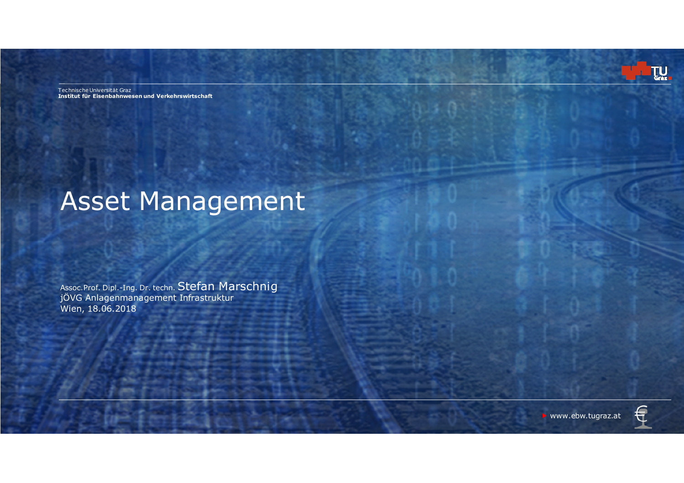Technische Universität Graz**Institut für Eisenbahnwesen und Verkehrswirtschaft** 

# Asset Management

Assoc.Prof. Dipl.-Ing. Dr. techn. Stefan Marschnig jÖVG Anlagenmanagement Infrastruktur Wien, 18.06.2018

TU GRAZ I **Institute of Railway Engineering and Transport Economy 2018** ▶ www.ebw.tugraz.at



TU.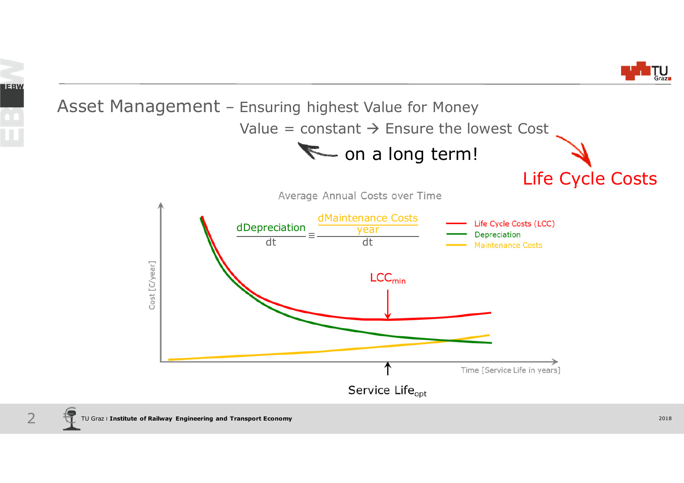

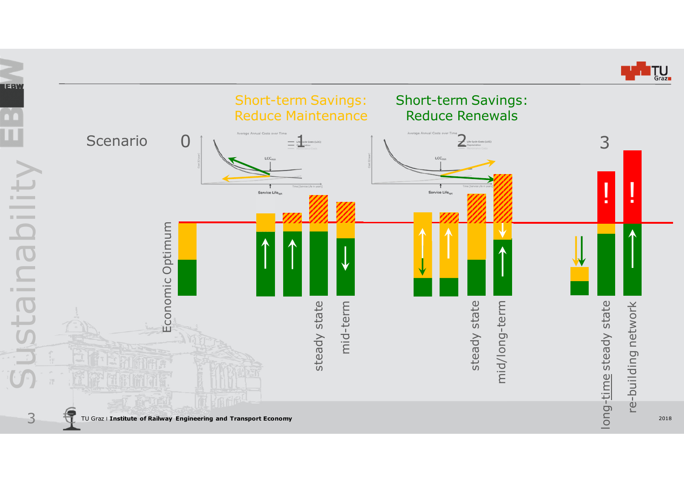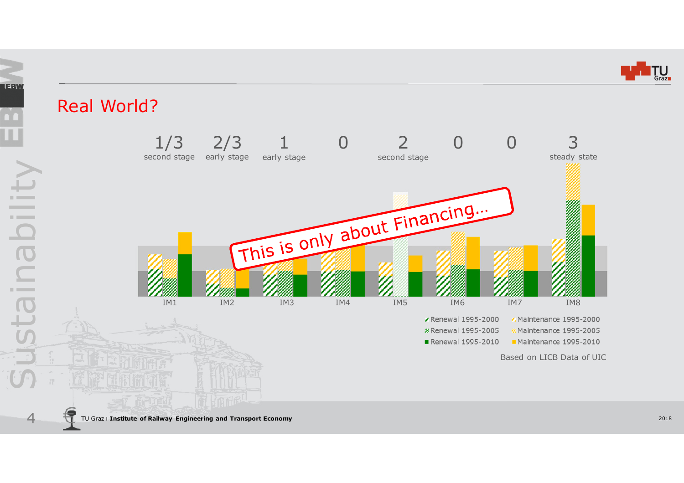

### Real World?

4

Sustainability

staina

**Contractor** 

LEBW

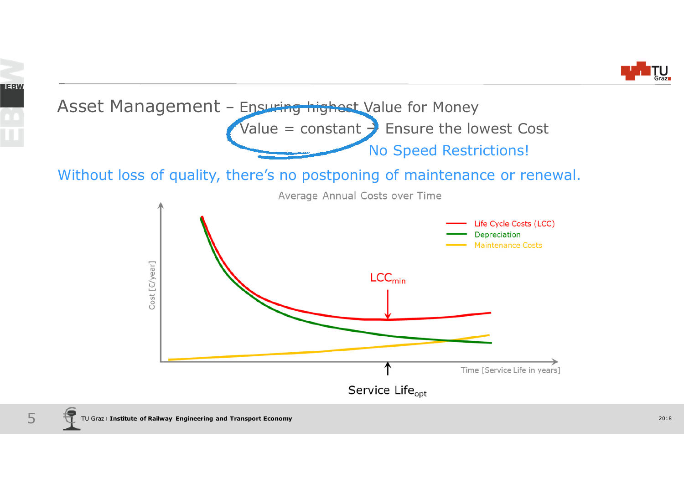



LEBW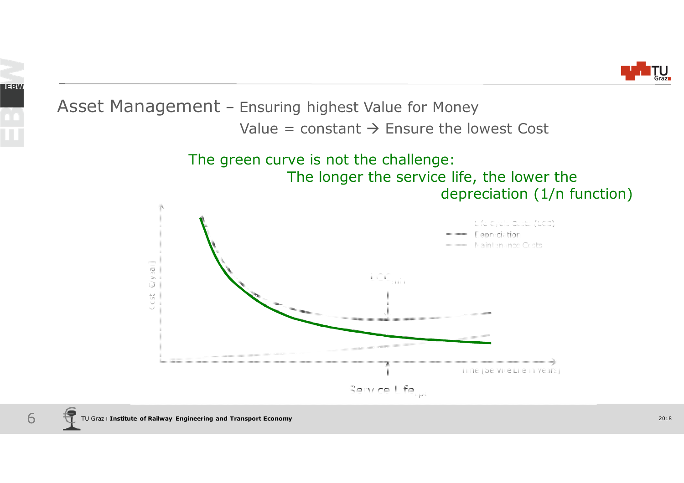

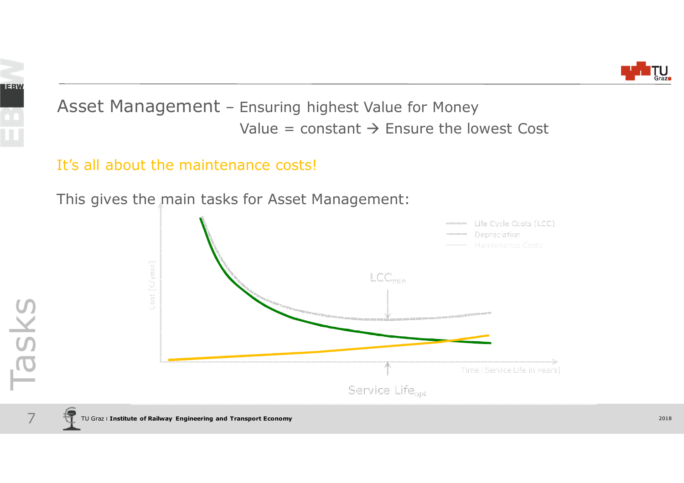



#### It's all about the maintenance costs!

This gives the main tasks for Asset Management:

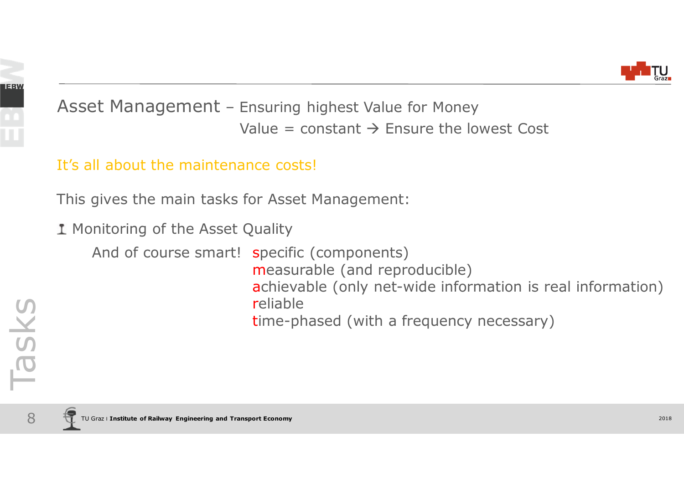

It's all about the maintenance costs!

This gives the main tasks for Asset Management:

1 Monitoring of the Asset Quality

And of course smart! specific (components) measurable (and reproducible) achievable (only net-wide information is real information)reliabletime-phased (with a frequency necessary)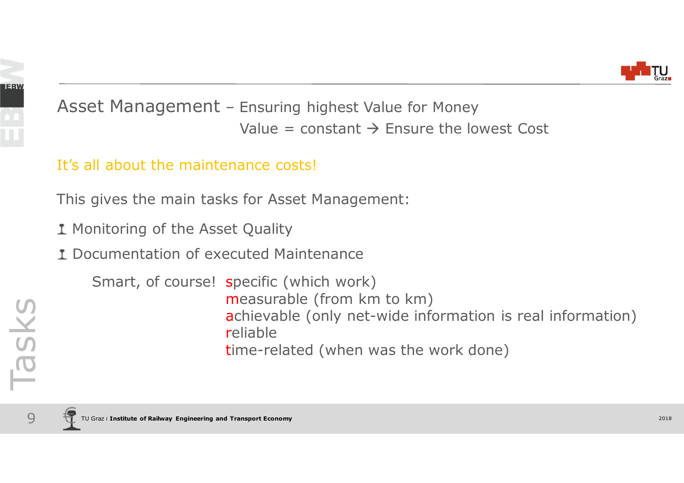

#### It's all about the maintenance costs!

This gives the main tasks for Asset Management:

1 Monitoring of the Asset Quality

Documentation of executed Maintenance

Smart, of course! specific (which work) measurable (from km to km) achievable (only net-wide information is real information)reliabletime-related (when was the work done)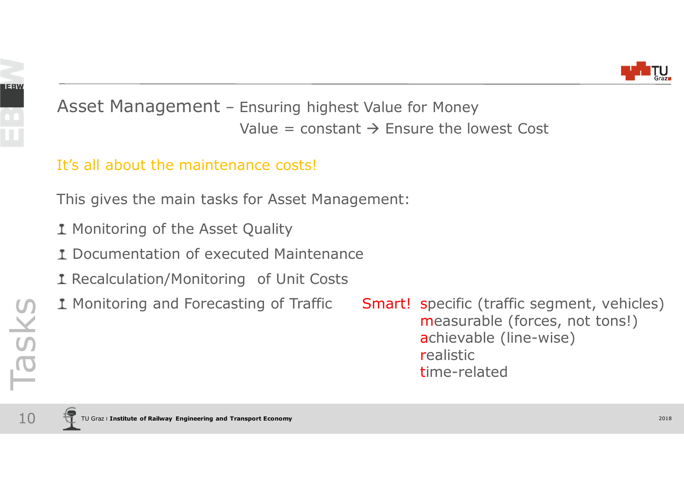

#### It's all about the maintenance costs!

This gives the main tasks for Asset Management:

- 1 Monitoring of the Asset Quality
- Documentation of executed Maintenance
- 1 Recalculation/Monitoring of Unit Costs
- 1 Monitoring and Forecasting of Traffic

Smart! specific (traffic segment, vehicles) measurable (forces, not tons!)achievable (line-wise)realistictime-related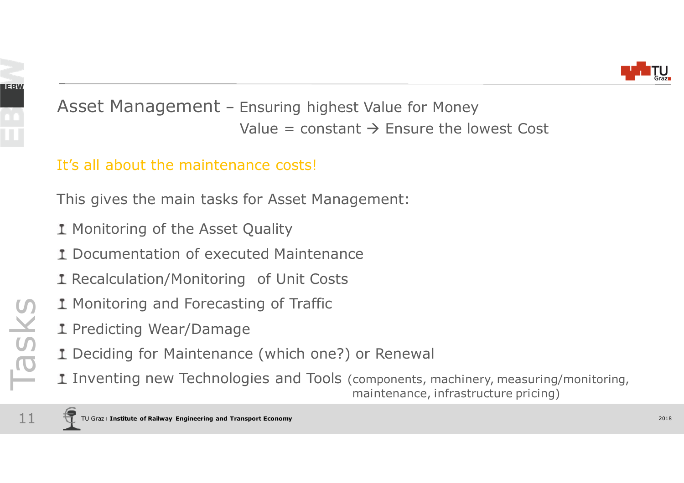

#### It's all about the maintenance costs!

This gives the main tasks for Asset Management:

- 1 Monitoring of the Asset Quality
- Documentation of executed Maintenance
- 1 Recalculation/Monitoring of Unit Costs
- 1 Monitoring and Forecasting of Traffic
- 1 Predicting Wear/Damage
- Deciding for Maintenance (which one?) or Renewal
- Inventing new Technologies and Tools (components, machinery, measuring/monitoring, The Tasks maintenance (which one?) or Renewal<br>
I Predicting Wear/Damage<br>
I Deciding for Maintenance (which one?) or Renewal<br>
I Inventing new Technologies and Tools (components, machinery, measuring,<br>
maintenance, infrastru